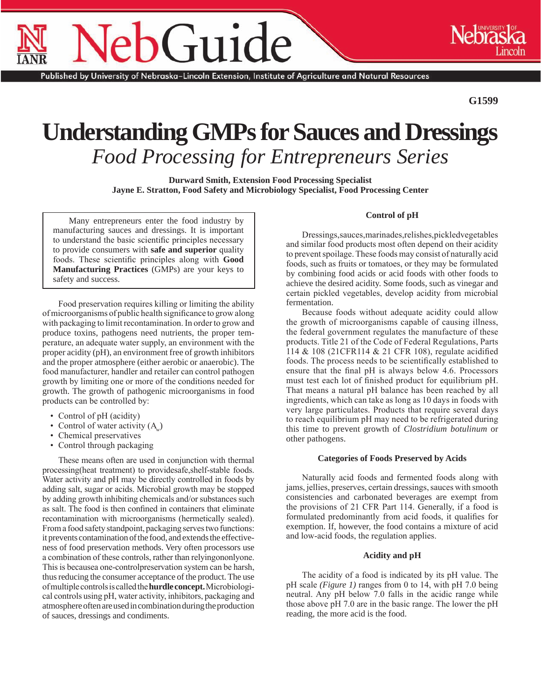# $G$ 111 $\epsilon$

Published by University of Nebraska–Lincoln Extension, Institute of Agriculture and Natural Resources

**G1599**

# **Understanding GMPs for Sauces and Dressings** *Food Processing for Entrepreneurs Series*

**Durward Smith, Extension Food Processing Specialist Jayne E. Stratton, Food Safety and Microbiology Specialist, Food Processing Center**

Many entrepreneurs enter the food industry by manufacturing sauces and dressings. It is important to understand the basic scientific principles necessary to provide consumers with **safe and superior** quality foods. These scientific principles along with **Good Manufacturing Practices** (GMPs) are your keys to safety and success.

Food preservation requires killing or limiting the ability of microorganisms of public health significance to grow along with packaging to limit recontamination. In order to grow and produce toxins, pathogens need nutrients, the proper temperature, an adequate water supply, an environment with the proper acidity (pH), an environment free of growth inhibitors and the proper atmosphere (either aerobic or anaerobic). The food manufacturer, handler and retailer can control pathogen growth by limiting one or more of the conditions needed for growth. The growth of pathogenic microorganisms in food products can be controlled by:

- Control of pH (acidity)
- Control of water activity  $(A_{\mu})$
- Chemical preservatives
- Control through packaging

These means often are used in conjunction with thermal processing(heat treatment) to providesafe,shelf-stable foods. Water activity and pH may be directly controlled in foods by adding salt, sugar or acids. Microbial growth may be stopped by adding growth inhibiting chemicals and/or substances such as salt. The food is then confined in containers that eliminate recontamination with microorganisms (hermetically sealed). From a food safety standpoint, packaging serves two functions: it prevents contamination of the food, and extends the effectiveness of food preservation methods. Very often processors use a combination of these controls, rather than relyingononlyone. This is becausea one-controlpreservation system can be harsh, thus reducing the consumer acceptance of the product. The use of multiple controls is called the **hurdle concept.** Microbiological controls using pH, water activity, inhibitors, packaging and atmosphere often are used in combination during the production of sauces, dressings and condiments.

## **Control of pH**

Dressings,sauces,marinades,relishes,pickledvegetables and similar food products most often depend on their acidity to prevent spoilage. These foods may consist of naturally acid foods, such as fruits or tomatoes, or they may be formulated by combining food acids or acid foods with other foods to achieve the desired acidity. Some foods, such as vinegar and certain pickled vegetables, develop acidity from microbial fermentation.

Because foods without adequate acidity could allow the growth of microorganisms capable of causing illness, the federal government regulates the manufacture of these products. Title 21 of the Code of Federal Regulations, Parts 114 & 108 (21CFR114 & 21 CFR 108), regulate acidified foods. The process needs to be scientifically established to ensure that the final pH is always below 4.6. Processors must test each lot of finished product for equilibrium pH. That means a natural pH balance has been reached by all ingredients, which can take as long as 10 days in foods with very large particulates. Products that require several days to reach equilibrium pH may need to be refrigerated during this time to prevent growth of *Clostridium botulinum* or other pathogens.

## **Categories of Foods Preserved by Acids**

Naturally acid foods and fermented foods along with jams, jellies, preserves, certain dressings, sauces with smooth consistencies and carbonated beverages are exempt from the provisions of 21 CFR Part 114. Generally, if a food is formulated predominantly from acid foods, it qualifies for exemption. If, however, the food contains a mixture of acid and low-acid foods, the regulation applies.

#### **Acidity and pH**

The acidity of a food is indicated by its pH value. The pH scale *(Figure 1)* ranges from 0 to 14, with pH 7.0 being neutral. Any pH below 7.0 falls in the acidic range while those above pH 7.0 are in the basic range. The lower the pH reading, the more acid is the food.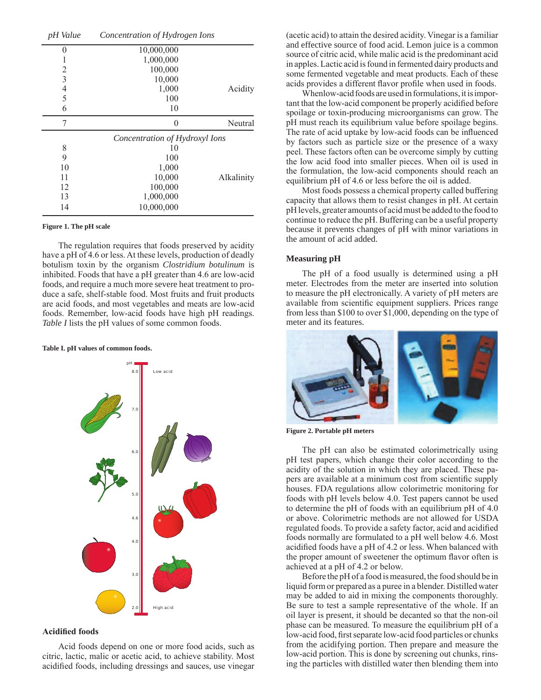| pH Value       | Concentration of Hydrogen Ions |            |  |
|----------------|--------------------------------|------------|--|
| 0              | 10,000,000                     |            |  |
|                | 1,000,000                      |            |  |
| 2              | 100,000                        |            |  |
| 3              | 10,000                         |            |  |
| $\overline{4}$ | 1,000                          | Acidity    |  |
| 5              | 100                            |            |  |
| 6              | 10                             |            |  |
| 7              | 0                              | Neutral    |  |
|                | Concentration of Hydroxyl Ions |            |  |
| 8              | 10                             |            |  |
| 9              | 100                            |            |  |
| 10             |                                |            |  |
|                | 1,000                          |            |  |
| 11             | 10,000                         | Alkalinity |  |
| 12             | 100,000                        |            |  |
| 13             | 1,000,000                      |            |  |

#### **Figure 1. The pH scale**

The regulation requires that foods preserved by acidity have a pH of 4.6 or less. At these levels, production of deadly botulism toxin by the organism *Clostridium botulinum* is inhibited. Foods that have a pH greater than 4.6 are low-acid foods, and require a much more severe heat treatment to produce a safe, shelf-stable food. Most fruits and fruit products are acid foods, and most vegetables and meats are low-acid foods. Remember, low-acid foods have high pH readings. *Table I* lists the pH values of some common foods.

#### **Table I. pH values of common foods.**



#### **Acidified foods**

Acid foods depend on one or more food acids, such as citric, lactic, malic or acetic acid, to achieve stability. Most acidified foods, including dressings and sauces, use vinegar (acetic acid) to attain the desired acidity. Vinegar is a familiar and effective source of food acid. Lemon juice is a common source of citric acid, while malic acid is the predominant acid in apples. Lactic acid is found in fermented dairy products and some fermented vegetable and meat products. Each of these acids provides a different flavor profile when used in foods.

Whenlow-acid foods are used in formulations, it is important that the low-acid component be properly acidified before spoilage or toxin-producing microorganisms can grow. The pH must reach its equilibrium value before spoilage begins. The rate of acid uptake by low-acid foods can be influenced by factors such as particle size or the presence of a waxy peel. These factors often can be overcome simply by cutting the low acid food into smaller pieces. When oil is used in the formulation, the low-acid components should reach an equilibrium pH of 4.6 or less before the oil is added.

Most foods possess a chemical property called buffering capacity that allows them to resist changes in pH. At certain pH levels, greater amounts of acid must be added to the food to continue to reduce the pH. Buffering can be a useful property because it prevents changes of pH with minor variations in the amount of acid added.

#### **Measuring pH**

The pH of a food usually is determined using a pH meter. Electrodes from the meter are inserted into solution to measure the pH electronically. A variety of pH meters are available from scientific equipment suppliers. Prices range from less than \$100 to over \$1,000, depending on the type of meter and its features.



**Figure 2. Portable pH meters** 

The pH can also be estimated colorimetrically using pH test papers, which change their color according to the acidity of the solution in which they are placed. These papers are available at a minimum cost from scientific supply houses. FDA regulations allow colorimetric monitoring for foods with pH levels below 4.0. Test papers cannot be used to determine the pH of foods with an equilibrium pH of 4.0 or above. Colorimetric methods are not allowed for USDA regulated foods. To provide a safety factor, acid and acidified foods normally are formulated to a pH well below 4.6. Most acidified foods have a pH of 4.2 or less. When balanced with the proper amount of sweetener the optimum flavor often is achieved at a pH of 4.2 or below.

Before the pH of a food is measured, the food should be in liquid form or prepared as a puree in a blender. Distilled water may be added to aid in mixing the components thoroughly. Be sure to test a sample representative of the whole. If an oil layer is present, it should be decanted so that the non-oil phase can be measured. To measure the equilibrium pH of a low-acid food, first separate low-acid food particles or chunks from the acidifying portion. Then prepare and measure the low-acid portion. This is done by screening out chunks, rinsing the particles with distilled water then blending them into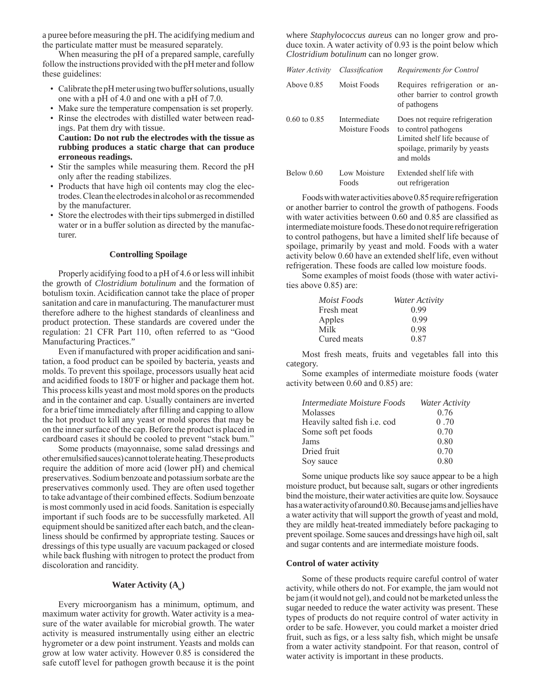a puree before measuring the pH. The acidifying medium and the particulate matter must be measured separately.

When measuring the pH of a prepared sample, carefully follow the instructions provided with the pH meter and follow these guidelines:

- Calibrate the pH meter using two buffer solutions, usually one with a pH of 4.0 and one with a pH of 7.0.
- Make sure the temperature compensation is set properly.
- Rinse the electrodes with distilled water between readings. Pat them dry with tissue.
- **Caution: Do not rub the electrodes with the tissue as rubbing produces a static charge that can produce erroneous readings.**
- Stir the samples while measuring them. Record the pH only after the reading stabilizes.
- Products that have high oil contents may clog the electrodes. Clean the electrodes in alcohol or as recommended by the manufacturer.
- Store the electrodes with their tips submerged in distilled water or in a buffer solution as directed by the manufacturer.

#### **Controlling Spoilage**

Properly acidifying food to a pH of 4.6 or less will inhibit the growth of *Clostridium botulinum* and the formation of botulism toxin. Acidification cannot take the place of proper sanitation and care in manufacturing. The manufacturer must therefore adhere to the highest standards of cleanliness and product protection. These standards are covered under the regulation: 21 CFR Part 110, often referred to as "Good Manufacturing Practices."

Even if manufactured with proper acidification and sanitation, a food product can be spoiled by bacteria, yeasts and molds. To prevent this spoilage, processors usually heat acid and acidified foods to 180°F or higher and package them hot. This process kills yeast and most mold spores on the products and in the container and cap. Usually containers are inverted for a brief time immediately after filling and capping to allow the hot product to kill any yeast or mold spores that may be on the inner surface of the cap. Before the product is placed in cardboard cases it should be cooled to prevent "stack bum."

Some products (mayonnaise, some salad dressings and other emulsified sauces) cannot tolerate heating.These products require the addition of more acid (lower pH) and chemical preservatives. Sodium benzoate and potassium sorbate are the preservatives commonly used. They are often used together to take advantage of their combined effects. Sodium benzoate is most commonly used in acid foods. Sanitation is especially important if such foods are to be successfully marketed. All equipment should be sanitized after each batch, and the cleanliness should be confirmed by appropriate testing. Sauces or dressings of this type usually are vacuum packaged or closed while back flushing with nitrogen to protect the product from discoloration and rancidity.

## **Water Activity (A<sub>w</sub>)**

Every microorganism has a minimum, optimum, and maximum water activity for growth. Water activity is a measure of the water available for microbial growth. The water activity is measured instrumentally using either an electric hygrometer or a dew point instrument. Yeasts and molds can grow at low water activity. However 0.85 is considered the safe cutoff level for pathogen growth because it is the point where *Staphylococcus aureus* can no longer grow and produce toxin. A water activity of 0.93 is the point below which *Clostridium botulinum* can no longer grow.

| Water Activity          | Classification                 | Requirements for Control                                                                                                              |
|-------------------------|--------------------------------|---------------------------------------------------------------------------------------------------------------------------------------|
| Above $0.85$            | Moist Foods                    | Requires refrigeration or an-<br>other barrier to control growth<br>of pathogens                                                      |
| $0.60 \text{ to } 0.85$ | Intermediate<br>Moisture Foods | Does not require refrigeration<br>to control pathogens<br>Limited shelf life because of<br>spoilage, primarily by yeasts<br>and molds |
| Below $0.60$            | Low Moisture<br>Foods          | Extended shelf life with<br>out refrigeration                                                                                         |

Foods with water activities above 0.85 require refrigeration or another barrier to control the growth of pathogens. Foods with water activities between 0.60 and 0.85 are classified as intermediate moisture foods. These do not require refrigeration to control pathogens, but have a limited shelf life because of spoilage, primarily by yeast and mold. Foods with a water activity below 0.60 have an extended shelf life, even without refrigeration. These foods are called low moisture foods.

Some examples of moist foods (those with water activities above 0.85) are:

| Moist Foods | Water Activity |
|-------------|----------------|
| Fresh meat  | 0.99           |
| Apples      | 0.99           |
| Milk        | 0.98           |
| Cured meats | 0.87           |

Most fresh meats, fruits and vegetables fall into this category.

Some examples of intermediate moisture foods (water activity between 0.60 and 0.85) are:

| Intermediate Moisture Foods         | Water Activity |
|-------------------------------------|----------------|
| Molasses                            | 0.76           |
| Heavily salted fish <i>i.e.</i> cod | 0.70           |
| Some soft pet foods                 | 0.70           |
| Jams                                | 0.80           |
| Dried fruit                         | 0.70           |
| Soy sauce                           | 0.80           |

Some unique products like soy sauce appear to be a high moisture product, but because salt, sugars or other ingredients bind the moisture, their water activities are quite low. Soysauce has a water activity of around 0.80. Because jams and jellies have a water activity that will support the growth of yeast and mold, they are mildly heat-treated immediately before packaging to prevent spoilage. Some sauces and dressings have high oil, salt and sugar contents and are intermediate moisture foods.

#### **Control of water activity**

Some of these products require careful control of water activity, while others do not. For example, the jam would not be jam (it would not gel), and could not be marketed unless the sugar needed to reduce the water activity was present. These types of products do not require control of water activity in order to be safe. However, you could market a moister dried fruit, such as figs, or a less salty fish, which might be unsafe from a water activity standpoint. For that reason, control of water activity is important in these products.